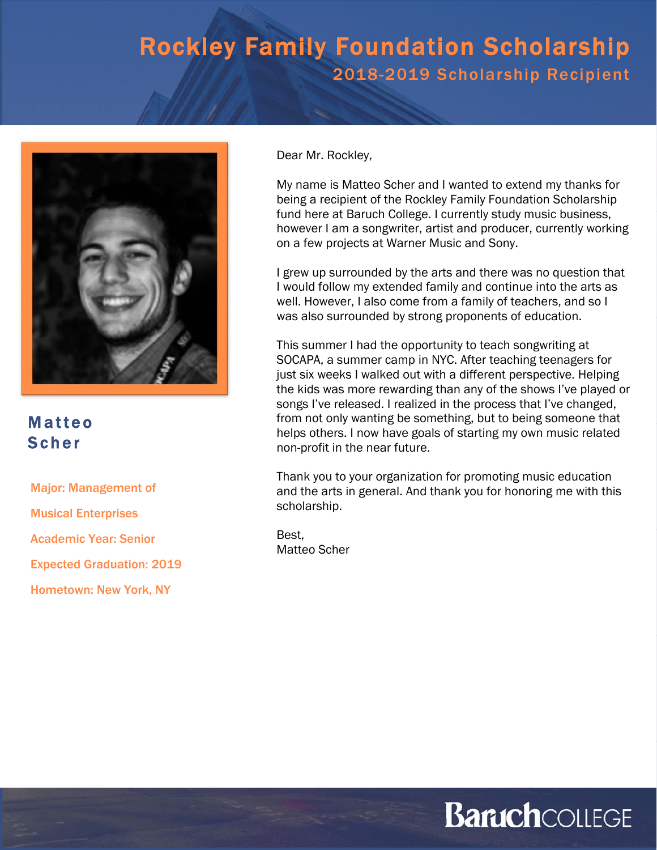

#### Matteo Scher

Major: Management of

Musical Enterprises

Academic Year: Senior

Expected Graduation: 2019

Hometown: New York, NY

Dear Mr. Rockley,

My name is Matteo Scher and I wanted to extend my thanks for being a recipient of the Rockley Family Foundation Scholarship fund here at Baruch College. I currently study music business, however I am a songwriter, artist and producer, currently working on a few projects at Warner Music and Sony.

I grew up surrounded by the arts and there was no question that I would follow my extended family and continue into the arts as well. However, I also come from a family of teachers, and so I was also surrounded by strong proponents of education.

This summer I had the opportunity to teach songwriting at SOCAPA, a summer camp in NYC. After teaching teenagers for just six weeks I walked out with a different perspective. Helping the kids was more rewarding than any of the shows I've played or songs I've released. I realized in the process that I've changed, from not only wanting be something, but to being someone that helps others. I now have goals of starting my own music related non-profit in the near future.

Thank you to your organization for promoting music education and the arts in general. And thank you for honoring me with this scholarship.

Best, Matteo Scher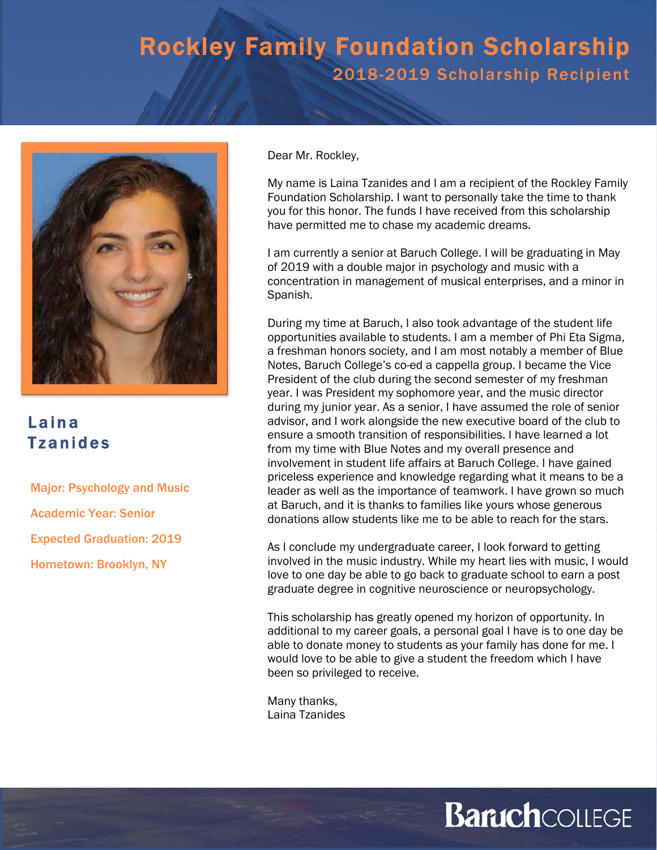

### Laina Tzanides

Major: Psychology and Music Academic Year: Senior Expected Graduation: 2019 Hometown: Brooklyn, NY

Dear Mr. Rockley,

My name is Laina Tzanides and I am a recipient of the Rockley Family Foundation Scholarship. I want to personally take the time to thank you for this honor. The funds I have received from this scholarship have permitted me to chase my academic dreams.

I am currently a senior at Baruch College. I will be graduating in May of 2019 with a double major in psychology and music with a concentration in management of musical enterprises, and a minor in Spanish.

During my time at Baruch, I also took advantage of the student life opportunities available to students. I am a member of Phi Eta Sigma, a freshman honors society, and I am most notably a member of Blue Notes, Baruch College's co-ed a cappella group. I became the Vice President of the club during the second semester of my freshman year. I was President my sophomore year, and the music director during my junior year. As a senior, I have assumed the role of senior advisor, and I work alongside the new executive board of the club to ensure a smooth transition of responsibilities. I have learned a lot from my time with Blue Notes and my overall presence and involvement in student life affairs at Baruch College. I have gained priceless experience and knowledge regarding what it means to be a leader as well as the importance of teamwork. I have grown so much at Baruch, and it is thanks to families like yours whose generous donations allow students like me to be able to reach for the stars.

As I conclude my undergraduate career, I look forward to getting involved in the music industry. While my heart lies with music, I would love to one day be able to go back to graduate school to earn a post graduate degree in cognitive neuroscience or neuropsychology.

This scholarship has greatly opened my horizon of opportunity. In additional to my career goals, a personal goal I have is to one day be able to donate money to students as your family has done for me. I would love to be able to give a student the freedom which I have been so privileged to receive.

Many thanks, Laina Tzanides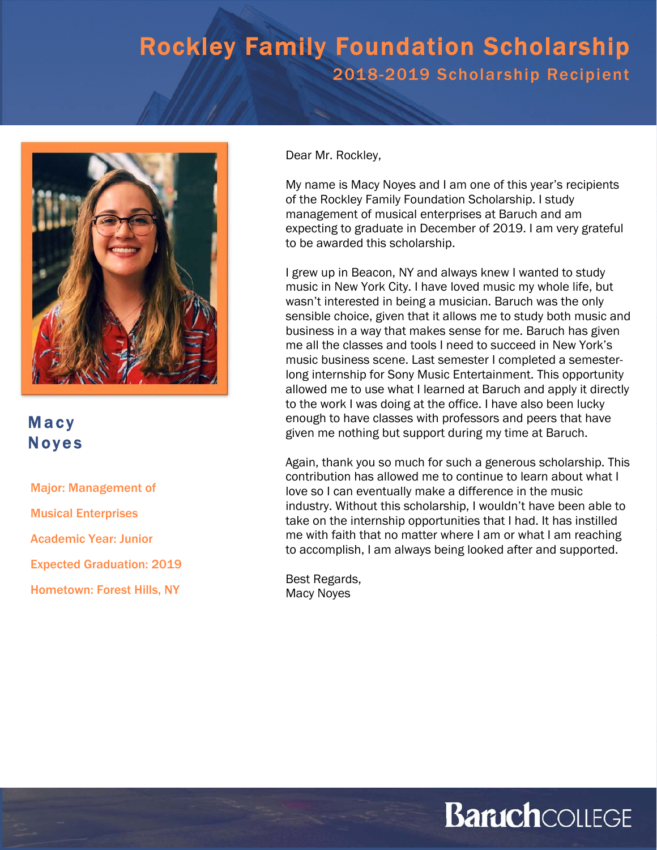

#### Macy Noyes

Major: Management of Musical Enterprises Academic Year: Junior Expected Graduation: 2019 Hometown: Forest Hills, NY

Dear Mr. Rockley,

My name is Macy Noyes and I am one of this year's recipients of the Rockley Family Foundation Scholarship. I study management of musical enterprises at Baruch and am expecting to graduate in December of 2019. I am very grateful to be awarded this scholarship.

I grew up in Beacon, NY and always knew I wanted to study music in New York City. I have loved music my whole life, but wasn't interested in being a musician. Baruch was the only sensible choice, given that it allows me to study both music and business in a way that makes sense for me. Baruch has given me all the classes and tools I need to succeed in New York's music business scene. Last semester I completed a semesterlong internship for Sony Music Entertainment. This opportunity allowed me to use what I learned at Baruch and apply it directly to the work I was doing at the office. I have also been lucky enough to have classes with professors and peers that have given me nothing but support during my time at Baruch.

Again, thank you so much for such a generous scholarship. This contribution has allowed me to continue to learn about what I love so I can eventually make a difference in the music industry. Without this scholarship, I wouldn't have been able to take on the internship opportunities that I had. It has instilled me with faith that no matter where I am or what I am reaching to accomplish, I am always being looked after and supported.

Best Regards, Macy Noyes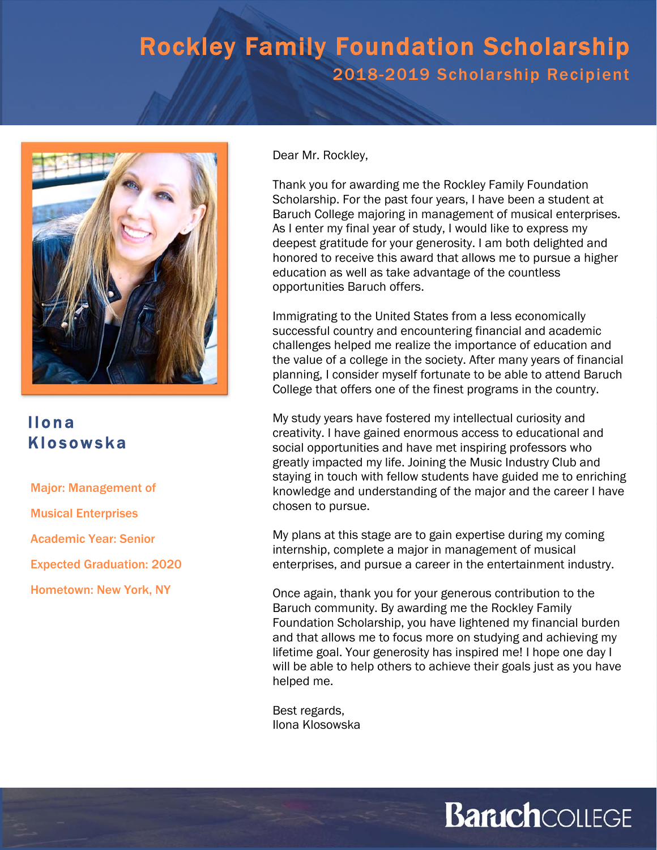

### Ilona Klosowska

Major: Management of

Musical Enterprises

Academic Year: Senior

Expected Graduation: 2020

Hometown: New York, NY

Dear Mr. Rockley,

Thank you for awarding me the Rockley Family Foundation Scholarship. For the past four years, I have been a student at Baruch College majoring in management of musical enterprises. As I enter my final year of study, I would like to express my deepest gratitude for your generosity. I am both delighted and honored to receive this award that allows me to pursue a higher education as well as take advantage of the countless opportunities Baruch offers.

Immigrating to the United States from a less economically successful country and encountering financial and academic challenges helped me realize the importance of education and the value of a college in the society. After many years of financial planning, I consider myself fortunate to be able to attend Baruch College that offers one of the finest programs in the country.

My study years have fostered my intellectual curiosity and creativity. I have gained enormous access to educational and social opportunities and have met inspiring professors who greatly impacted my life. Joining the Music Industry Club and staying in touch with fellow students have guided me to enriching knowledge and understanding of the major and the career I have chosen to pursue.

My plans at this stage are to gain expertise during my coming internship, complete a major in management of musical enterprises, and pursue a career in the entertainment industry.

Once again, thank you for your generous contribution to the Baruch community. By awarding me the Rockley Family Foundation Scholarship, you have lightened my financial burden and that allows me to focus more on studying and achieving my lifetime goal. Your generosity has inspired me! I hope one day I will be able to help others to achieve their goals just as you have helped me.

Best regards, Ilona Klosowska